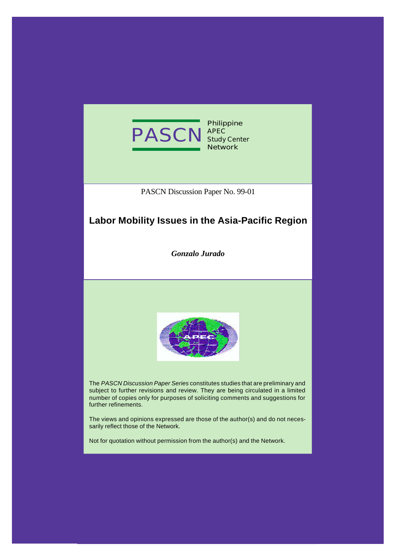

**Philippine APEC Study Center Network**

PASCN Discussion Paper No. 99-01

# **Labor Mobility Issues in the Asia-Pacific Region**

*Gonzalo Jurado*



The *PASCN Discussion Paper Series* constitutes studies that are preliminary and subject to further revisions and review. They are being circulated in a limited number of copies only for purposes of soliciting comments and suggestions for further refinements.

The views and opinions expressed are those of the author(s) and do not necessarily reflect those of the Network.

Not for quotation without permission from the author(s) and the Network.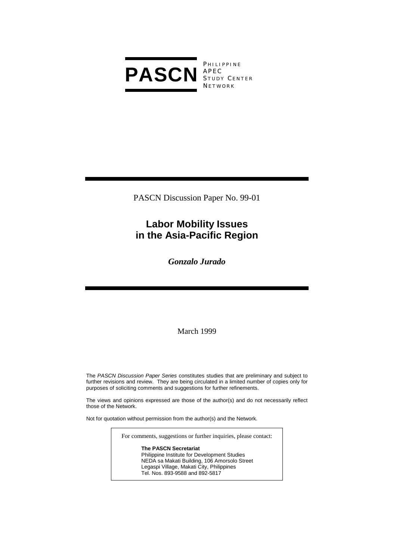

**PHILIPPINE** S TUDY C ENTER **NETWORK** 

PASCN Discussion Paper No. 99-01

# **Labor Mobility Issues in the Asia-Pacific Region**

*Gonzalo Jurado* 

March 1999

The *PASCN Discussion Paper Series* constitutes studies that are preliminary and subject to further revisions and review. They are being circulated in a limited number of copies only for purposes of soliciting comments and suggestions for further refinements.

The views and opinions expressed are those of the author(s) and do not necessarily reflect those of the Network.

Not for quotation without permission from the author(s) and the Network.

For comments, suggestions or further inquiries, please contact:

#### **The PASCN Secretariat**

Philippine Institute for Development Studies NEDA sa Makati Building, 106 Amorsolo Street Legaspi Village, Makati City, Philippines Tel. Nos. 893-9588 and 892-5817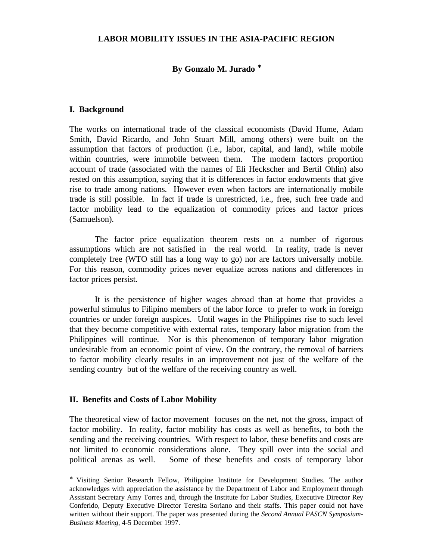#### **LABOR MOBILITY ISSUES IN THE ASIA-PACIFIC REGION**

### **By Gonzalo M. Jurado** <sup>∗</sup>

#### **I. Background**

The works on international trade of the classical economists (David Hume, Adam Smith, David Ricardo, and John Stuart Mill, among others) were built on the assumption that factors of production (i.e., labor, capital, and land), while mobile within countries, were immobile between them. The modern factors proportion account of trade (associated with the names of Eli Heckscher and Bertil Ohlin) also rested on this assumption, saying that it is differences in factor endowments that give rise to trade among nations. However even when factors are internationally mobile trade is still possible. In fact if trade is unrestricted, i.e., free, such free trade and factor mobility lead to the equalization of commodity prices and factor prices (Samuelson).

The factor price equalization theorem rests on a number of rigorous assumptions which are not satisfied in the real world. In reality, trade is never completely free (WTO still has a long way to go) nor are factors universally mobile. For this reason, commodity prices never equalize across nations and differences in factor prices persist.

It is the persistence of higher wages abroad than at home that provides a powerful stimulus to Filipino members of the labor force to prefer to work in foreign countries or under foreign auspices. Until wages in the Philippines rise to such level that they become competitive with external rates, temporary labor migration from the Philippines will continue. Nor is this phenomenon of temporary labor migration undesirable from an economic point of view. On the contrary, the removal of barriers to factor mobility clearly results in an improvement not just of the welfare of the sending country but of the welfare of the receiving country as well.

#### **II. Benefits and Costs of Labor Mobility**

-

The theoretical view of factor movement focuses on the net, not the gross, impact of factor mobility. In reality, factor mobility has costs as well as benefits, to both the sending and the receiving countries. With respect to labor, these benefits and costs are not limited to economic considerations alone. They spill over into the social and political arenas as well. Some of these benefits and costs of temporary labor

<sup>∗</sup> Visiting Senior Research Fellow, Philippine Institute for Development Studies. The author acknowledges with appreciation the assistance by the Department of Labor and Employment through Assistant Secretary Amy Torres and, through the Institute for Labor Studies, Executive Director Rey Conferido, Deputy Executive Director Teresita Soriano and their staffs. This paper could not have written without their support. The paper was presented during the *Second Annual PASCN Symposium-Business Meeting*, 4-5 December 1997.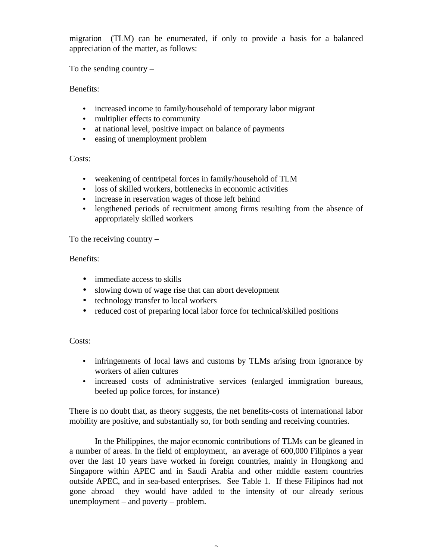migration (TLM) can be enumerated, if only to provide a basis for a balanced appreciation of the matter, as follows:

To the sending country –

Benefits:

- increased income to family/household of temporary labor migrant
- multiplier effects to community
- at national level, positive impact on balance of payments
- easing of unemployment problem

Costs:

- weakening of centripetal forces in family/household of TLM
- loss of skilled workers, bottlenecks in economic activities
- increase in reservation wages of those left behind
- lengthened periods of recruitment among firms resulting from the absence of appropriately skilled workers

To the receiving country –

## Benefits:

- immediate access to skills
- slowing down of wage rise that can abort development
- technology transfer to local workers
- reduced cost of preparing local labor force for technical/skilled positions

Costs:

- infringements of local laws and customs by TLMs arising from ignorance by workers of alien cultures
- increased costs of administrative services (enlarged immigration bureaus, beefed up police forces, for instance)

There is no doubt that, as theory suggests, the net benefits-costs of international labor mobility are positive, and substantially so, for both sending and receiving countries.

In the Philippines, the major economic contributions of TLMs can be gleaned in a number of areas. In the field of employment, an average of 600,000 Filipinos a year over the last 10 years have worked in foreign countries, mainly in Hongkong and Singapore within APEC and in Saudi Arabia and other middle eastern countries outside APEC, and in sea-based enterprises. See Table 1. If these Filipinos had not gone abroad they would have added to the intensity of our already serious unemployment – and poverty – problem.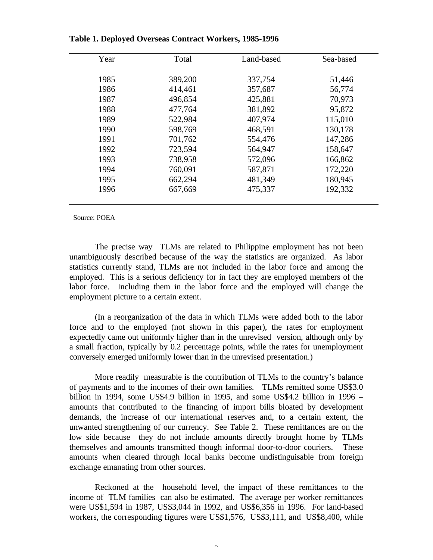| Year | Total   | Land-based | Sea-based |
|------|---------|------------|-----------|
|      |         |            |           |
| 1985 | 389,200 | 337,754    | 51,446    |
| 1986 | 414,461 | 357,687    | 56,774    |
| 1987 | 496,854 | 425,881    | 70,973    |
| 1988 | 477,764 | 381,892    | 95,872    |
| 1989 | 522,984 | 407,974    | 115,010   |
| 1990 | 598,769 | 468,591    | 130,178   |
| 1991 | 701,762 | 554,476    | 147,286   |
| 1992 | 723,594 | 564,947    | 158,647   |
| 1993 | 738,958 | 572,096    | 166,862   |
| 1994 | 760,091 | 587,871    | 172,220   |
| 1995 | 662,294 | 481,349    | 180,945   |
| 1996 | 667,669 | 475,337    | 192,332   |
|      |         |            |           |

**Table 1. Deployed Overseas Contract Workers, 1985-1996**

Source: POEA

The precise way TLMs are related to Philippine employment has not been unambiguously described because of the way the statistics are organized. As labor statistics currently stand, TLMs are not included in the labor force and among the employed. This is a serious deficiency for in fact they are employed members of the labor force. Including them in the labor force and the employed will change the employment picture to a certain extent.

(In a reorganization of the data in which TLMs were added both to the labor force and to the employed (not shown in this paper), the rates for employment expectedly came out uniformly higher than in the unrevised version, although only by a small fraction, typically by 0.2 percentage points, while the rates for unemployment conversely emerged uniformly lower than in the unrevised presentation.)

More readily measurable is the contribution of TLMs to the country's balance of payments and to the incomes of their own families. TLMs remitted some US\$3.0 billion in 1994, some US\$4.9 billion in 1995, and some US\$4.2 billion in 1996 – amounts that contributed to the financing of import bills bloated by development demands, the increase of our international reserves and, to a certain extent, the unwanted strengthening of our currency. See Table 2. These remittances are on the low side because they do not include amounts directly brought home by TLMs themselves and amounts transmitted though informal door-to-door couriers. These amounts when cleared through local banks become undistinguisable from foreign exchange emanating from other sources.

Reckoned at the household level, the impact of these remittances to the income of TLM families can also be estimated. The average per worker remittances were US\$1,594 in 1987, US\$3,044 in 1992, and US\$6,356 in 1996. For land-based workers, the corresponding figures were US\$1,576, US\$3,111, and US\$8,400, while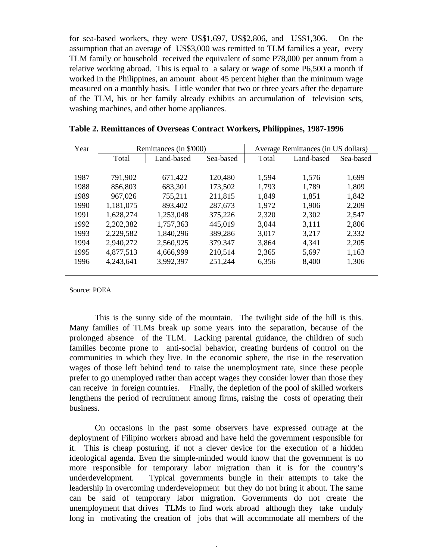for sea-based workers, they were US\$1,697, US\$2,806, and US\$1,306. On the assumption that an average of US\$3,000 was remitted to TLM families a year, every TLM family or household received the equivalent of some P78,000 per annum from a relative working abroad. This is equal to a salary or wage of some P6,500 a month if worked in the Philippines, an amount about 45 percent higher than the minimum wage measured on a monthly basis. Little wonder that two or three years after the departure of the TLM, his or her family already exhibits an accumulation of television sets, washing machines, and other home appliances.

| Year | Remittances (in \$'000) |            | Average Remittances (in US dollars) |       |            |           |
|------|-------------------------|------------|-------------------------------------|-------|------------|-----------|
|      | Total                   | Land-based | Sea-based                           | Total | Land-based | Sea-based |
|      |                         |            |                                     |       |            |           |
| 1987 | 791,902                 | 671,422    | 120,480                             | 1,594 | 1,576      | 1,699     |
| 1988 | 856,803                 | 683,301    | 173,502                             | 1,793 | 1,789      | 1,809     |
| 1989 | 967,026                 | 755,211    | 211,815                             | 1,849 | 1,851      | 1,842     |
| 1990 | 1,181,075               | 893,402    | 287,673                             | 1,972 | 1,906      | 2,209     |
| 1991 | 1,628,274               | 1,253,048  | 375,226                             | 2,320 | 2,302      | 2,547     |
| 1992 | 2,202,382               | 1,757,363  | 445,019                             | 3,044 | 3,111      | 2,806     |
| 1993 | 2,229,582               | 1,840,296  | 389,286                             | 3,017 | 3,217      | 2,332     |
| 1994 | 2,940,272               | 2,560,925  | 379.347                             | 3,864 | 4,341      | 2,205     |
| 1995 | 4,877,513               | 4,666,999  | 210,514                             | 2,365 | 5,697      | 1,163     |
| 1996 | 4,243,641               | 3,992,397  | 251,244                             | 6,356 | 8,400      | 1,306     |
|      |                         |            |                                     |       |            |           |

| Table 2. Remittances of Overseas Contract Workers, Philippines, 1987-1996 |  |  |
|---------------------------------------------------------------------------|--|--|
|---------------------------------------------------------------------------|--|--|

Source: POEA

This is the sunny side of the mountain. The twilight side of the hill is this. Many families of TLMs break up some years into the separation, because of the prolonged absence of the TLM. Lacking parental guidance, the children of such families become prone to anti-social behavior, creating burdens of control on the communities in which they live. In the economic sphere, the rise in the reservation wages of those left behind tend to raise the unemployment rate, since these people prefer to go unemployed rather than accept wages they consider lower than those they can receive in foreign countries. Finally, the depletion of the pool of skilled workers lengthens the period of recruitment among firms, raising the costs of operating their business.

On occasions in the past some observers have expressed outrage at the deployment of Filipino workers abroad and have held the government responsible for it. This is cheap posturing, if not a clever device for the execution of a hidden ideological agenda. Even the simple-minded would know that the government is no more responsible for temporary labor migration than it is for the country's underdevelopment. Typical governments bungle in their attempts to take the leadership in overcoming underdevelopment but they do not bring it about. The same can be said of temporary labor migration. Governments do not create the unemployment that drives TLMs to find work abroad although they take unduly long in motivating the creation of jobs that will accommodate all members of the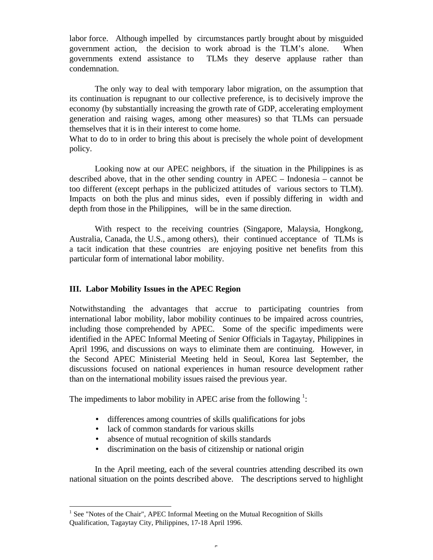labor force. Although impelled by circumstances partly brought about by misguided government action, the decision to work abroad is the TLM's alone. When governments extend assistance to TLMs they deserve applause rather than condemnation.

The only way to deal with temporary labor migration, on the assumption that its continuation is repugnant to our collective preference, is to decisively improve the economy (by substantially increasing the growth rate of GDP, accelerating employment generation and raising wages, among other measures) so that TLMs can persuade themselves that it is in their interest to come home.

What to do to in order to bring this about is precisely the whole point of development policy.

Looking now at our APEC neighbors, if the situation in the Philippines is as described above, that in the other sending country in APEC – Indonesia – cannot be too different (except perhaps in the publicized attitudes of various sectors to TLM). Impacts on both the plus and minus sides, even if possibly differing in width and depth from those in the Philippines, will be in the same direction.

With respect to the receiving countries (Singapore, Malaysia, Hongkong, Australia, Canada, the U.S., among others), their continued acceptance of TLMs is a tacit indication that these countries are enjoying positive net benefits from this particular form of international labor mobility.

### **III. Labor Mobility Issues in the APEC Region**

Notwithstanding the advantages that accrue to participating countries from international labor mobility, labor mobility continues to be impaired across countries, including those comprehended by APEC. Some of the specific impediments were identified in the APEC Informal Meeting of Senior Officials in Tagaytay, Philippines in April 1996, and discussions on ways to eliminate them are continuing. However, in the Second APEC Ministerial Meeting held in Seoul, Korea last September, the discussions focused on national experiences in human resource development rather than on the international mobility issues raised the previous year.

The impediments to labor mobility in APEC arise from the following  $\frac{1}{2}$ :

- differences among countries of skills qualifications for jobs
- lack of common standards for various skills

-

- absence of mutual recognition of skills standards
- discrimination on the basis of citizenship or national origin

In the April meeting, each of the several countries attending described its own national situation on the points described above. The descriptions served to highlight

<sup>&</sup>lt;sup>1</sup> See "Notes of the Chair", APEC Informal Meeting on the Mutual Recognition of Skills Qualification, Tagaytay City, Philippines, 17-18 April 1996.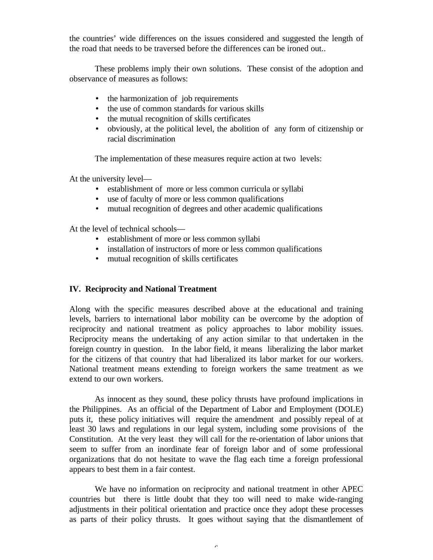the countries' wide differences on the issues considered and suggested the length of the road that needs to be traversed before the differences can be ironed out..

These problems imply their own solutions. These consist of the adoption and observance of measures as follows:

- the harmonization of job requirements
- the use of common standards for various skills
- the mutual recognition of skills certificates
- obviously, at the political level, the abolition of any form of citizenship or racial discrimination

The implementation of these measures require action at two levels:

At the university level—

- establishment of more or less common curricula or syllabi
- use of faculty of more or less common qualifications
- mutual recognition of degrees and other academic qualifications

At the level of technical schools—

- establishment of more or less common syllabi
- installation of instructors of more or less common qualifications
- mutual recognition of skills certificates

#### **IV. Reciprocity and National Treatment**

Along with the specific measures described above at the educational and training levels, barriers to international labor mobility can be overcome by the adoption of reciprocity and national treatment as policy approaches to labor mobility issues. Reciprocity means the undertaking of any action similar to that undertaken in the foreign country in question. In the labor field, it means liberalizing the labor market for the citizens of that country that had liberalized its labor market for our workers. National treatment means extending to foreign workers the same treatment as we extend to our own workers.

As innocent as they sound, these policy thrusts have profound implications in the Philippines. As an official of the Department of Labor and Employment (DOLE) puts it, these policy initiatives will require the amendment and possibly repeal of at least 30 laws and regulations in our legal system, including some provisions of the Constitution. At the very least they will call for the re-orientation of labor unions that seem to suffer from an inordinate fear of foreign labor and of some professional organizations that do not hesitate to wave the flag each time a foreign professional appears to best them in a fair contest.

We have no information on reciprocity and national treatment in other APEC countries but there is little doubt that they too will need to make wide-ranging adjustments in their political orientation and practice once they adopt these processes as parts of their policy thrusts. It goes without saying that the dismantlement of